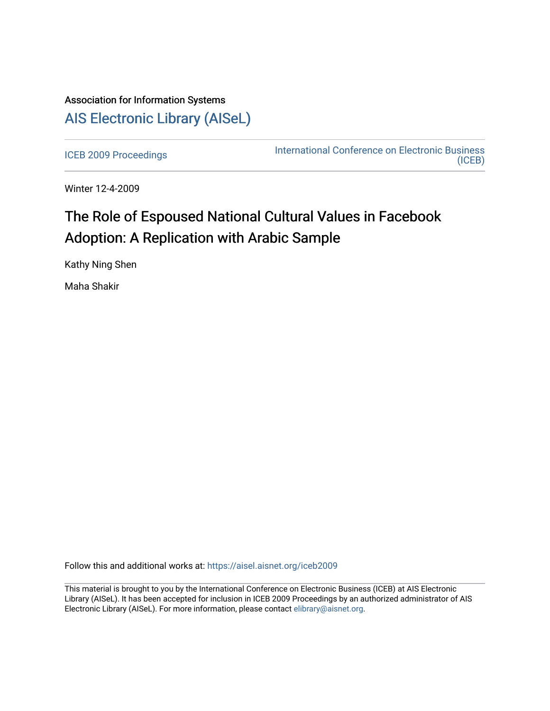## Association for Information Systems [AIS Electronic Library \(AISeL\)](https://aisel.aisnet.org/)

[ICEB 2009 Proceedings](https://aisel.aisnet.org/iceb2009) **International Conference on Electronic Business** [\(ICEB\)](https://aisel.aisnet.org/iceb) 

Winter 12-4-2009

# The Role of Espoused National Cultural Values in Facebook Adoption: A Replication with Arabic Sample

Kathy Ning Shen

Maha Shakir

Follow this and additional works at: [https://aisel.aisnet.org/iceb2009](https://aisel.aisnet.org/iceb2009?utm_source=aisel.aisnet.org%2Ficeb2009%2F15&utm_medium=PDF&utm_campaign=PDFCoverPages)

This material is brought to you by the International Conference on Electronic Business (ICEB) at AIS Electronic Library (AISeL). It has been accepted for inclusion in ICEB 2009 Proceedings by an authorized administrator of AIS Electronic Library (AISeL). For more information, please contact [elibrary@aisnet.org.](mailto:elibrary@aisnet.org%3E)